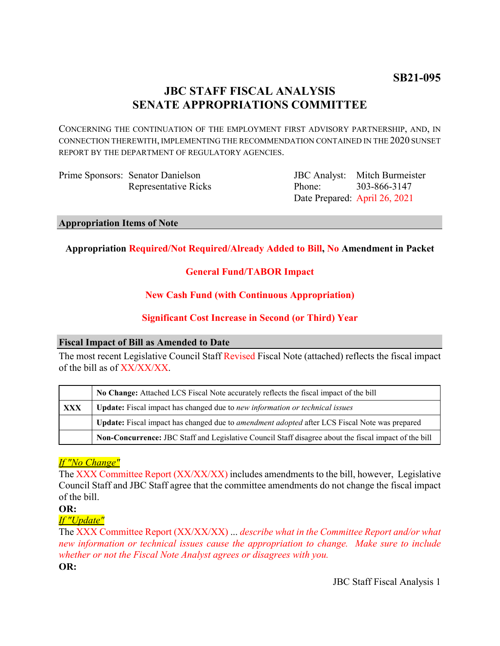# **JBC STAFF FISCAL ANALYSIS SENATE APPROPRIATIONS COMMITTEE**

CONCERNING THE CONTINUATION OF THE EMPLOYMENT FIRST ADVISORY PARTNERSHIP, AND, IN CONNECTION THEREWITH, IMPLEMENTING THE RECOMMENDATION CONTAINED IN THE 2020 SUNSET REPORT BY THE DEPARTMENT OF REGULATORY AGENCIES.

Prime Sponsors: Senator Danielson Representative Ricks

JBC Analyst: Mitch Burmeister Phone: Date Prepared: April 26, 2021 303-866-3147

## **Appropriation Items of Note**

# **Appropriation Required/Not Required/Already Added to Bill, No Amendment in Packet**

# **General Fund/TABOR Impact**

# **New Cash Fund (with Continuous Appropriation)**

# **Significant Cost Increase in Second (or Third) Year**

## **Fiscal Impact of Bill as Amended to Date**

The most recent Legislative Council Staff Revised Fiscal Note (attached) reflects the fiscal impact of the bill as of XX/XX/XX.

|     | No Change: Attached LCS Fiscal Note accurately reflects the fiscal impact of the bill                       |
|-----|-------------------------------------------------------------------------------------------------------------|
| XXX | Update: Fiscal impact has changed due to new information or technical issues                                |
|     | <b>Update:</b> Fiscal impact has changed due to <i>amendment adopted</i> after LCS Fiscal Note was prepared |
|     | Non-Concurrence: JBC Staff and Legislative Council Staff disagree about the fiscal impact of the bill       |

# *If "No Change"*

The XXX Committee Report (XX/XX/XX) includes amendments to the bill, however, Legislative Council Staff and JBC Staff agree that the committee amendments do not change the fiscal impact of the bill.

### **OR:**

# *If "Update"*

The XXX Committee Report (XX/XX/XX) ... *describe what in the Committee Report and/or what new information or technical issues cause the appropriation to change. Make sure to include whether or not the Fiscal Note Analyst agrees or disagrees with you.*

**OR:**

JBC Staff Fiscal Analysis 1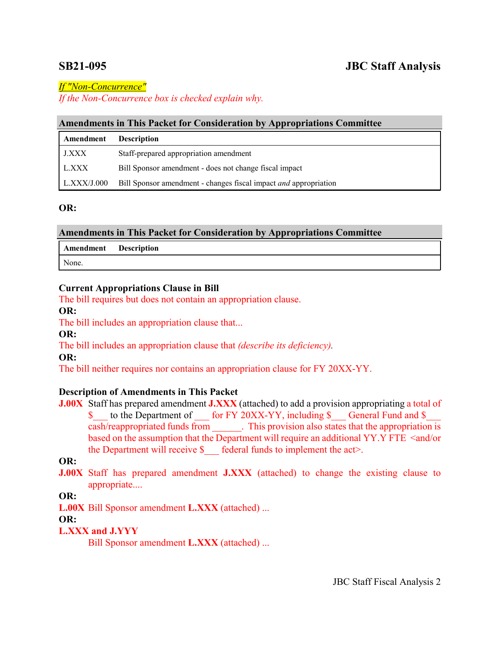# **SB21-095 JBC Staff Analysis**

*If "Non-Concurrence"*

*If the Non-Concurrence box is checked explain why.* 

## **Amendments in This Packet for Consideration by Appropriations Committee**

| Amendment          | <b>Description</b>                                               |
|--------------------|------------------------------------------------------------------|
| <b>J.XXX</b>       | Staff-prepared appropriation amendment                           |
| L.XXX              | Bill Sponsor amendment - does not change fiscal impact           |
| $\mid$ L.XXX/J.000 | Bill Sponsor amendment - changes fiscal impact and appropriation |

## **OR:**

| <b>Amendments in This Packet for Consideration by Appropriations Committee</b> |  |  |  |  |  |  |
|--------------------------------------------------------------------------------|--|--|--|--|--|--|
|--------------------------------------------------------------------------------|--|--|--|--|--|--|

**Amendment Description**

None.

# **Current Appropriations Clause in Bill**

The bill requires but does not contain an appropriation clause.

## **OR:**

The bill includes an appropriation clause that...

**OR:**

The bill includes an appropriation clause that *(describe its deficiency).*

**OR:**

The bill neither requires nor contains an appropriation clause for FY 20XX-YY.

# **Description of Amendments in This Packet**

**J.00X** Staff has prepared amendment **J.XXX** (attached) to add a provision appropriating a total of \$ to the Department of for FY 20XX-YY, including \$ General Fund and \$ cash/reappropriated funds from . This provision also states that the appropriation is based on the assumption that the Department will require an additional YY.Y FTE <and/or the Department will receive  $\delta$  federal funds to implement the act>.

**OR:**

**J.00X** Staff has prepared amendment **J.XXX** (attached) to change the existing clause to appropriate....

**OR:**

**L.00X** Bill Sponsor amendment **L.XXX** (attached) ...

**OR:**

# **L.XXX and J.YYY**

Bill Sponsor amendment **L.XXX** (attached) ...